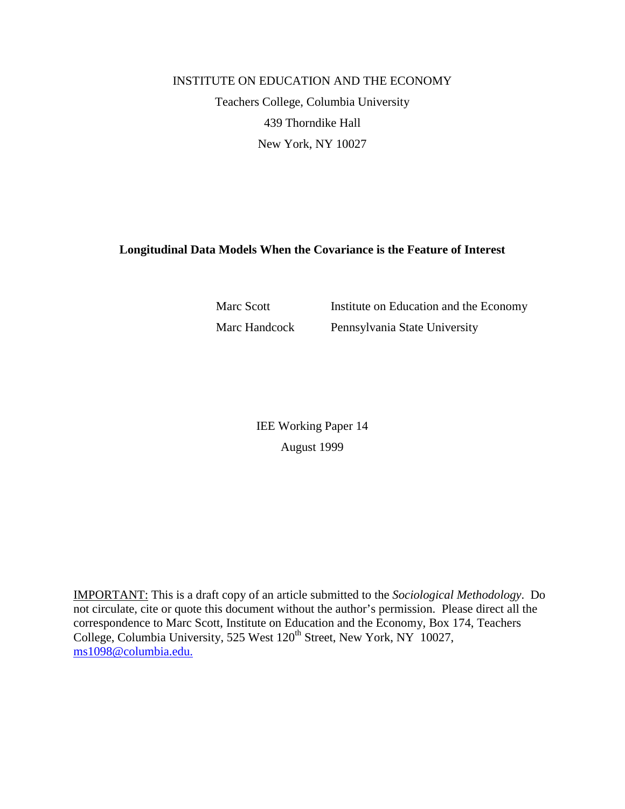# INSTITUTE ON EDUCATION AND THE ECONOMY Teachers College, Columbia University 439 Thorndike Hall New York, NY 10027

# **Longitudinal Data Models When the Covariance is the Feature of Interest**

Marc Scott Institute on Education and the Economy Marc Handcock Pennsylvania State University

> IEE Working Paper 14 August 1999

IMPORTANT: This is a draft copy of an article submitted to the *Sociological Methodology*. Do not circulate, cite or quote this document without the author's permission. Please direct all the correspondence to Marc Scott, Institute on Education and the Economy, Box 174, Teachers College, Columbia University, 525 West 120<sup>th</sup> Street, New York, NY 10027, ms1098@columbia.edu.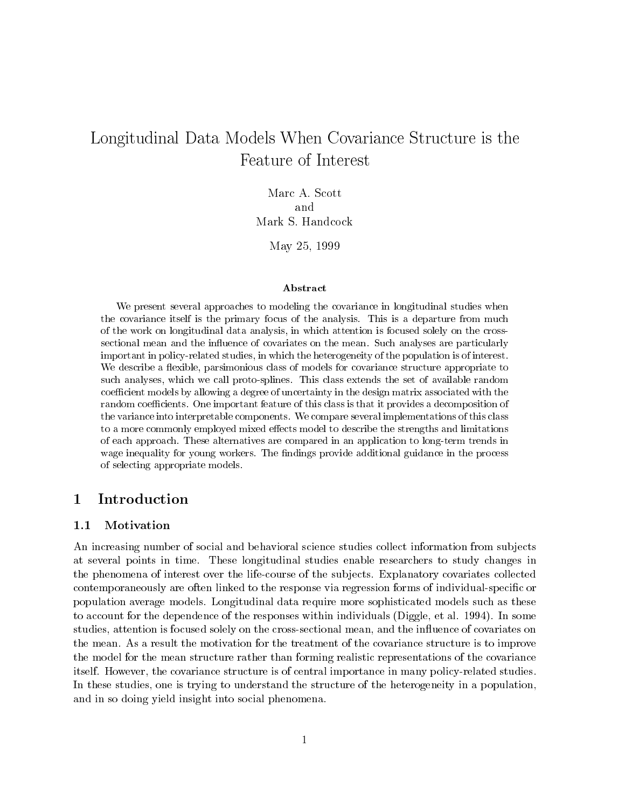# Longitudinal Data Models When Covarian Covariance Over Covariance Structure is the structure is the structure i Feature of Interest

Marc A. Scott and Mark S. Handcock

May 25, 1999

#### Abstract

We present several approaches to modeling the covariance in longitudinal studies whenthe covariance itself is the primary focus of the analysis. This is <sup>a</sup> departure from much of the work on longitudinal data analysis, in which attention is focused solely on the crosssectional mean and the in
uence of covariates on the mean. Such analyses are particularly important in policy-related studies, in which the heterogeneity of the population is of interest.We describe a flexible, parsimonious class of models for covariance structure appropriate to such analyses, which we call proto-splines. This class extends the set of available random coefficient models by allowing a degree of uncertainty in the design matrix associated with the random coecients. One important feature of this class is that it provides a decomposition of the variance into interpretable components. We compare several implementations of this class to a more commonly employed mixed effects model to describe the strengths and limitations of each approach. These alternatives are compared in an application to long-term trends in wage inequality for young workers. The ndings provide additional guidance in the process of selecting appropriate models.

# 1 Introduction

### 1.1 Motivation

An increasing number of social and behavioral science studies collect information from subjects at several points in time. These longitudinal studies enable researchers to study changes in the phenomena of interest over the life-course of the sub jects. Explanatory covariates collected contemporaneously are often linked to the response via regression forms of individual-specific or population average models. Longitudinal data require more sophisticated models such as these to account for the dependence of the responses within individuals (Diggle, et al. 1994). In some studies, attention is focused solely on the cross-sectional mean, and the influence of covariates on the mean. As a result the motivation for the treatment of the covariance structure is to improve the model for the mean structure rather than forming realistic representations of the covariance itself. However, the covariance structure is of central importance in many policy-related studies. In these studies, one is trying to understand the structure of the heterogeneity in a population, and in so doing yield insight into social phenomena.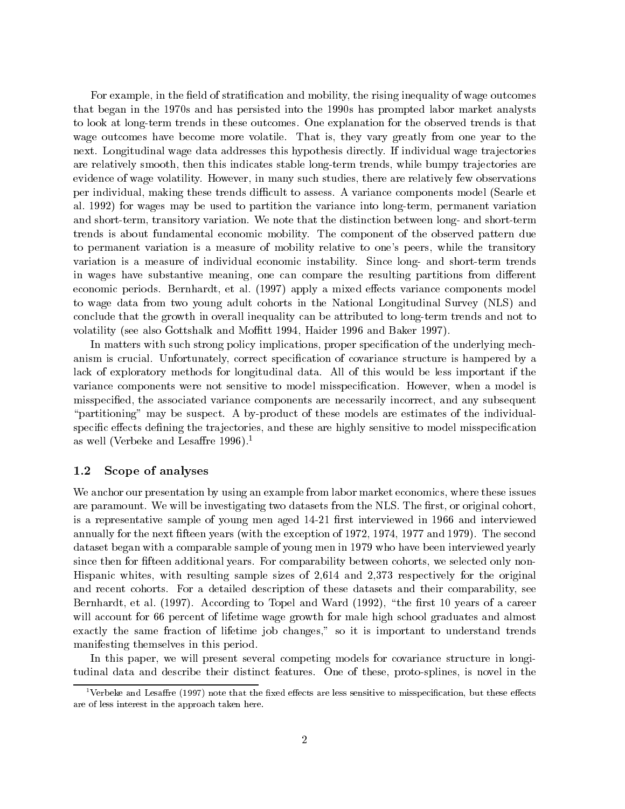For example, in the field of stratification and mobility, the rising inequality of wage outcomes that began in the 1970s and has persisted into the 1990s has prompted labor market analysts to look at long-term trends in these outcomes. One explanation for the observed trends is that wage outcomes have become more volatile. That is, they vary greatly from one year to the next. Longitudinal wage data addresses this hypothesis directly. If individual wage trajectories are relatively smooth, then this indicates stable long-term trends, while bumpy trajectories are evidence of wage volatility. However, in many such studies, there are relatively few observations per individual, making these trends dicult to assess. A variance components model (Searle et al. 1992) for wages may be used to partition the variance into long-term, permanent variation and short-term, transitory variation. We note that the distinction between long- and short-term trends is about fundamental economic mobility. The component of the observed pattern due to permanent variation is a measure of mobility relative to one's peers, while the transitory variation is a measure of individual economic instability. Since long- and short-term trends in wages have substantive meaning, one can compare the resulting partitions from different economic periods. Bernhardt, et al. (1997) apply a mixed effects variance components model to wage data from two young adult cohorts in the National Longitudinal Survey (NLS) and conclude that the growth in overall inequality can be attributed to long-term trends and not to volatility (see also Gottshalk and Moffitt 1994, Haider 1996 and Baker 1997).

In matters with such strong policy implications, proper specification of the underlying mechanism is crucial. Unfortunately, correct specication of covariance structure is hampered by a lack of exploratory methods for longitudinal data. All of this would be less important if the variance components were not sensitive to model misspecication. However, when a model is misspecied, the associated variance components are necessarily incorrect, and any subsequent "partitioning" may be suspect. A by-product of these models are estimates of the individualspecific effects defining the trajectories, and these are highly sensitive to model misspecification as well (Verbeke and Lesaffre 1996).<sup>1</sup>

### 1.2 Scope of analyses

We anchor our presentation by using an example from labor market economics, where these issues are paramount. We will be investigating two datasets from the NLS. The first, or original cohort, is a representative sample of young men aged  $14-21$  first interviewed in 1966 and interviewed annually for the next fteen years (with the exception of 1972, 1974, 1977 and 1979). The second dataset began with a comparable sample of young men in 1979 who have been interviewed yearly since then for fifteen additional years. For comparability between cohorts, we selected only non-Hispanic whites, with resulting sample sizes of 2,614 and 2,373 respectively for the original and recent cohorts. For a detailed description of these datasets and their comparability, see Bernhardt, et al.  $(1997)$ . According to Topel and Ward  $(1992)$ , "the first 10 years of a career will account for 66 percent of lifetime wage growth for male high school graduates and almost exactly the same fraction of lifetime job changes," so it is important to understand trends manifesting themselves in this period.

In this paper, we will present several competing models for covariance structure in longitudinal data and describe their distinct features. One of these, proto-splines, is novel in the

<sup>&</sup>lt;sup>1</sup>Verbeke and Lesaffre (1997) note that the fixed effects are less sensitive to misspecification, but these effects are of less interest in the approach taken here.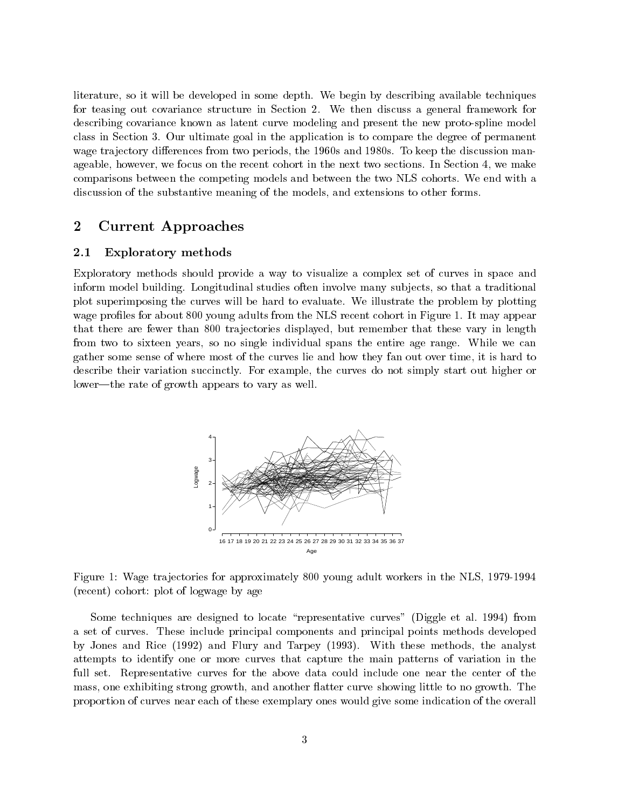literature, so it will be developed in some depth. We begin by describing available techniques for teasing out covariance structure in Section 2. We then discuss a general framework for describing covariance known as latent curve modeling and present the new proto-spline model class in Section 3. Our ultimate goal in the application is to compare the degree of permanent wage trajectory differences from two periods, the 1960s and 1980s. To keep the discussion manageable, however, we focus on the recent cohort in the next two sections. In Section 4, we make comparisons between the competing models and between the two NLS cohorts. We end with a discussion of the substantive meaning of the models, and extensions to other forms.

#### $\overline{2}$ 2 Current Approaches

### 2.1 Exploratory methods

Exploratory methods should provide a way to visualize a complex set of curves in space and inform model building. Longitudinal studies often involve many sub jects, so that a traditional plot superimposing the curves will be hard to evaluate. We illustrate the problem by plotting wage profiles for about 800 young adults from the NLS recent cohort in Figure 1. It may appear that there are fewer than 800 trajectories displayed, but remember that these vary in length from two to sixteen years, so no single individual spans the entire age range. While we can gather some sense of where most of the curves lie and how they fan out over time, it is hard to describe their variation succinctly. For example, the curves do not simply start out higher or lower—the rate of growth appears to vary as well.



Figure 1: Wage trajectories for approximately 800 young adult workers in the NLS, 1979-1994 (recent) cohort: plot of logwage by age

Some techniques are designed to locate "representative curves" (Diggle et al. 1994) from a set of curves. These include principal components and principal points methods developed by Jones and Rice (1992) and Flury and Tarpey (1993). With these methods, the analyst attempts to identify one or more curves that capture the main patterns of variation in the full set. Representative curves for the above data could include one near the center of the mass, one exhibiting strong growth, and another flatter curve showing little to no growth. The proportion of curves near each of these exemplary ones would give some indication of the overall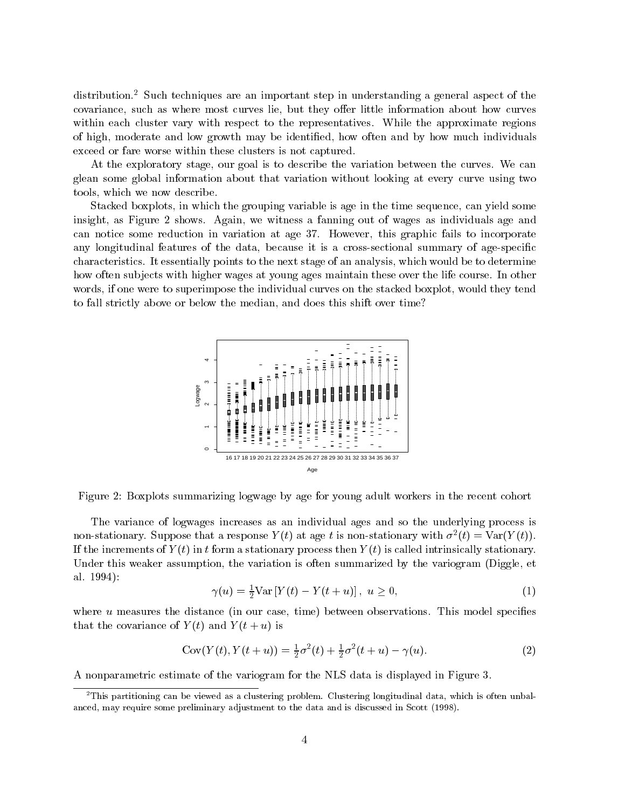distribution.<sup>2</sup> Such techniques are an important step in understanding a general aspect of the covariance, such as where most curves lie, but they offer little information about how curves within each cluster vary with respect to the representatives. While the approximate regions of high, moderate and low growth may be identied, how often and by how much individuals exceed or fare worse within these clusters is not captured.

At the exploratory stage, our goal is to describe the variation between the curves. We can glean some global information about that variation without looking at every curve using two tools, which we now describe.

Stacked boxplots, in which the grouping variable is age in the time sequence, can yield some insight, as Figure 2 shows. Again, we witness a fanning out of wages as individuals age and can notice some reduction in variation at age 37. However, this graphic fails to incorporate any longitudinal features of the data, because it is a cross-sectional summary of age-specific characteristics. It essentially points to the next stage of an analysis, which would be to determine how often subjects with higher wages at young ages maintain these over the life course. In other words, if one were to superimpose the individual curves on the stacked boxplot, would they tend to fall strictly above or below the median, and does this shift over time?



Figure 2: Boxplots summarizing logwage by age for young adult workers in the recent cohort

The variance of logwages increases as an individual ages and so the underlying process is non-stationary. Suppose that a response  $Y(t)$  at age t is non-stationary with  $\sigma^*(t) = \text{var}(Y(t))$ . If the increments of  $Y(t)$  in t form a stationary process then  $Y(t)$  is called intrinsically stationary. Under this weaker assumption, the variation is often summarized by the variogram (Diggle, et al. 1994):

$$
\gamma(u) = \frac{1}{2} \text{Var} \left[ Y(t) - Y(t+u) \right], \ u \ge 0,
$$
\n(1)

where  $u$  measures the distance (in our case, time) between observations. This model specifies that the covariance of  $Y(t)$  and  $Y(t+u)$  is

$$
Cov(Y(t), Y(t+u)) = \frac{1}{2}\sigma^2(t) + \frac{1}{2}\sigma^2(t+u) - \gamma(u). \tag{2}
$$

A nonparametric estimate of the variogram for the NLS data is displayed in Figure 3.

 $^2\rm{This~partitioning~can~be~viewed~as~a~clustering~problem.~Clustering~longitudinal~data,~which~is~often~unbal-}$ anced, may require some preliminary adjustment to the data and is discussed in Scott (1998).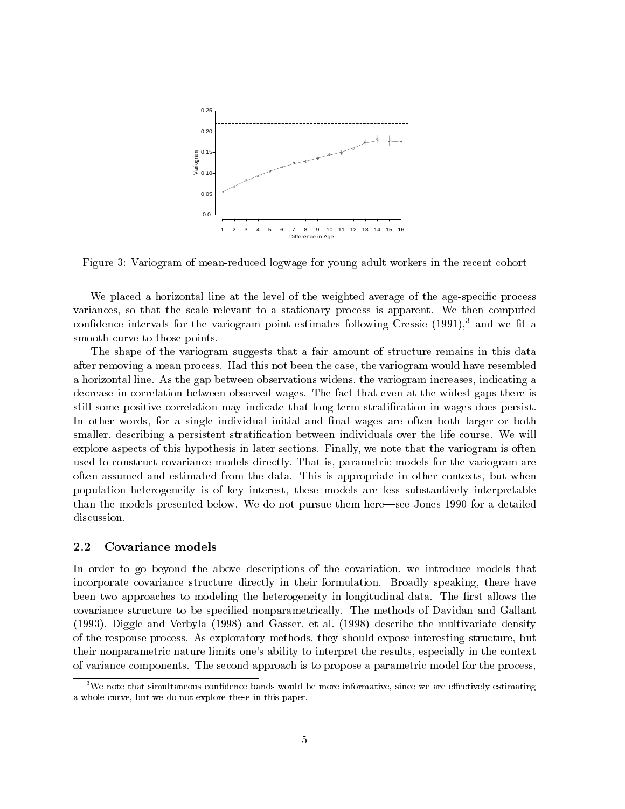

Figure 3: Variogram of mean-reduced logwage for young adult workers in the recent cohort

We placed a horizontal line at the level of the weighted average of the age-specific process variances, so that the scale relevant to a stationary process is apparent. We then computed confidence intervals for the variogram point estimates following Cressie  $(1991)$ ,<sup>3</sup> and we fit a smooth curve to those points.

The shape of the variogram suggests that a fair amount of structure remains in this data after removing a mean process. Had this not been the case, the variogram would have resembled a horizontal line. As the gap between observations widens, the variogram increases, indicating a decrease in correlation between observed wages. The fact that even at the widest gaps there is still some positive correlation may indicate that long-term stratication in wages does persist. In other words, for a single individual initial and final wages are often both larger or both smaller, describing a persistent stratification between individuals over the life course. We will explore aspects of this hypothesis in later sections. Finally, we note that the variogram is often used to construct covariance models directly. That is, parametric models for the variogram are often assumed and estimated from the data. This is appropriate in other contexts, but when population heterogeneity is of key interest, these models are less substantively interpretable than the models presented below. We do not pursue them here—see Jones 1990 for a detailed discussion.

#### $2.2$ Covariance models

In order to go beyond the above descriptions of the covariation, we introduce models that incorporate covariance structure directly in their formulation. Broadly speaking, there have been two approaches to modeling the heterogeneity in longitudinal data. The first allows the covariance structure to be specied nonparametrically. The methods of Davidan and Gallant (1993), Diggle and Verbyla (1998) and Gasser, et al. (1998) describe the multivariate density of the response process. As exploratory methods, they should expose interesting structure, but their nonparametric nature limits one's ability to interpret the results, especially in the context of variance components. The second approach is to propose a parametric model for the process,

 $3$ We note that simultaneous confidence bands would be more informative, since we are effectively estimating a whole curve, but we do not explore these in this paper.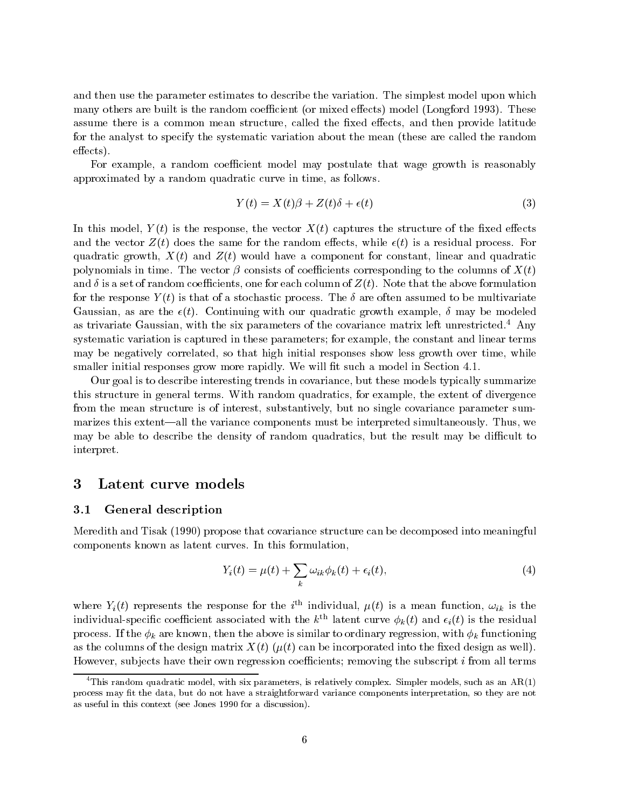and then use the parameter estimates to describe the variation. The simplest model upon which many others are built is the random coefficient (or mixed effects) model (Longford 1993). These assume there is a common mean structure, called the fixed effects, and then provide latitude for the analyst to specify the systematic variation about the mean (these are called the random  $effects).$ 

For example, a random coefficient model may postulate that wage growth is reasonably approximated by a random quadratic curve in time, as follows.

$$
Y(t) = X(t)\beta + Z(t)\delta + \epsilon(t)
$$
\n(3)

In this model,  $Y(t)$  is the response, the vector  $X(t)$  captures the structure of the fixed effects and the vector  $Z(t)$  does the same for the random effects, while  $\epsilon(t)$  is a residual process. For quadratic growth,  $X(t)$  and  $Z(t)$  would have a component for constant, linear and quadratic polynomials in time. The vector  $\beta$  consists of coefficients corresponding to the columns of  $X(t)$ and  $\delta$  is a set of random coefficients, one for each column of  $Z(t)$ . Note that the above formulation for the response  $Y(t)$  is that of a stochastic process. The  $\delta$  are often assumed to be multivariate Gaussian, as are the  $\epsilon(t)$ . Continuing with our quadratic growth example,  $\delta$  may be modeled as trivariate Gaussian, with the six parameters of the covariance matrix left unrestricted.4 Any systematic variation is captured in these parameters; for example, the constant and linear terms may be negatively correlated, so that high initial responses show less growth over time, while smaller initial responses grow more rapidly. We will fit such a model in Section 4.1.

Our goal is to describe interesting trends in covariance, but these models typically summarize this structure in general terms. With random quadratics, for example, the extent of divergence from the mean structure is of interest, substantively, but no single covariance parameter summarizes this extent—all the variance components must be interpreted simultaneously. Thus, we may be able to describe the density of random quadratics, but the result may be difficult to interpret.

### 3 Latent curve models

#### 3.1 General description

Meredith and Tisak (1990) propose that covariance structure can be decomposed into meaningful components known as latent curves. In this formulation,

$$
Y_i(t) = \mu(t) + \sum_k \omega_{ik} \phi_k(t) + \epsilon_i(t), \qquad (4)
$$

where  $T_i(t)$  represents the response for the  $i$  -marvidual,  $\mu(t)$  is a mean function,  $\omega_{ik}$  is the individual-specific coefficient associated with the  $k^{\text{th}}$  latent curve  $\phi_k(t)$  and  $\epsilon_i(t)$  is the residual process. If the  $\phi_k$  are known, then the above is similar to ordinary regression, with  $\phi_k$  functioning as the columns of the design matrix  $X(t)$  ( $\mu(t)$  can be incorporated into the fixed design as well). However, subjects have their own regression coefficients; removing the subscript  $i$  from all terms

<sup>&</sup>lt;sup>4</sup>This random quadratic model, with six parameters, is relatively complex. Simpler models, such as an  $AR(1)$ process may fit the data, but do not have a straightforward variance components interpretation, so they are not as useful in this context (see Jones 1990 for a discussion).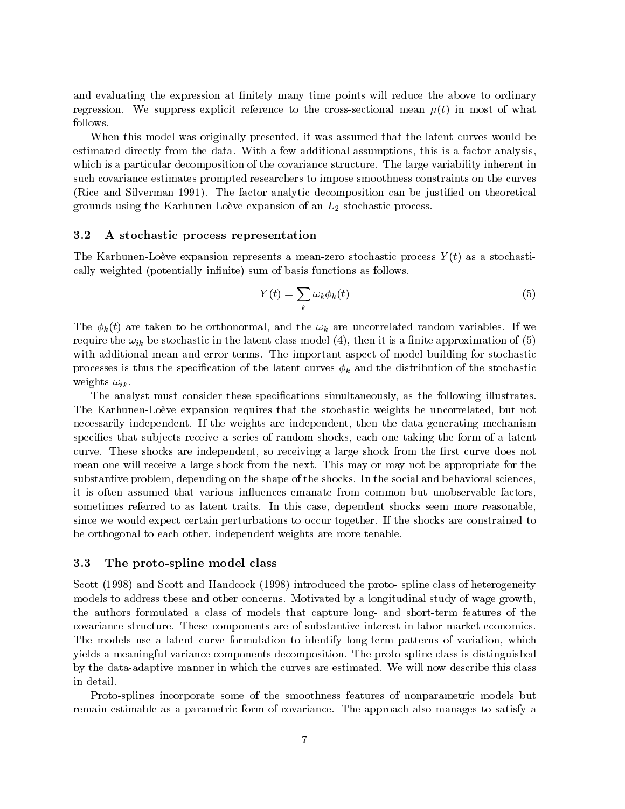and evaluating the expression at finitely many time points will reduce the above to ordinary regression. We suppress explicit reference to the cross-sectional mean  $\mu(t)$  in most of what follows.

When this model was originally presented, it was assumed that the latent curves would be estimated directly from the data. With a few additional assumptions, this is a factor analysis, which is a particular decomposition of the covariance structure. The large variability inherent in such covariance estimates prompted researchers to impose smoothness constraints on the curves (Rice and Silverman 1991). The factor analytic decomposition can be justified on theoretical grounds using the Karhunen-Loève expansion of an  $L_2$  stochastic process.

#### 3.2 A stochastic process representation

The Karhunen-Loeve expansion represents a mean-zero stochastic process  $Y(t)$  as a stochastically weighted (potentially infinite) sum of basis functions as follows.

$$
Y(t) = \sum_{k} \omega_k \phi_k(t) \tag{5}
$$

The  $\phi_k(t)$  are taken to be orthonormal, and the  $\omega_k$  are uncorrelated random variables. If we require the  $\omega_{ik}$  be stochastic in the latent class model (4), then it is a finite approximation of (5) with additional mean and error terms. The important aspect of model building for stochastic processes is thus the specification of the latent curves  $\phi_k$  and the distribution of the stochastic weights  $\omega_{ik}$ .

The analyst must consider these specifications simultaneously, as the following illustrates. The Karhunen-Loeve expansion requires that the stochastic weights be uncorrelated, but not necessarily independent. If the weights are independent, then the data generating mechanism specifies that subjects receive a series of random shocks, each one taking the form of a latent curve. These shocks are independent, so receiving a large shock from the first curve does not mean one will receive a large shock from the next. This may or may not be appropriate for the substantive problem, depending on the shape of the shocks. In the social and behavioral sciences, it is often assumed that various in
uences emanate from common but unobservable factors, sometimes referred to as latent traits. In this case, dependent shocks seem more reasonable, since we would expect certain perturbations to occur together. If the shocks are constrained to be orthogonal to each other, independent weights are more tenable.

#### 3.3 The proto-spline model class

Scott (1998) and Scott and Handcock (1998) introduced the proto- spline class of heterogeneity models to address these and other concerns. Motivated by a longitudinal study of wage growth, the authors formulated a class of models that capture long- and short-term features of the covariance structure. These components are of substantive interest in labor market economics. The models use a latent curve formulation to identify long-term patterns of variation, which yields a meaningful variance components decomposition. The proto-spline class is distinguished by the data-adaptive manner in which the curves are estimated. We will now describe this class in detail.

Proto-splines incorporate some of the smoothness features of nonparametric models but remain estimable as a parametric form of covariance. The approach also manages to satisfy a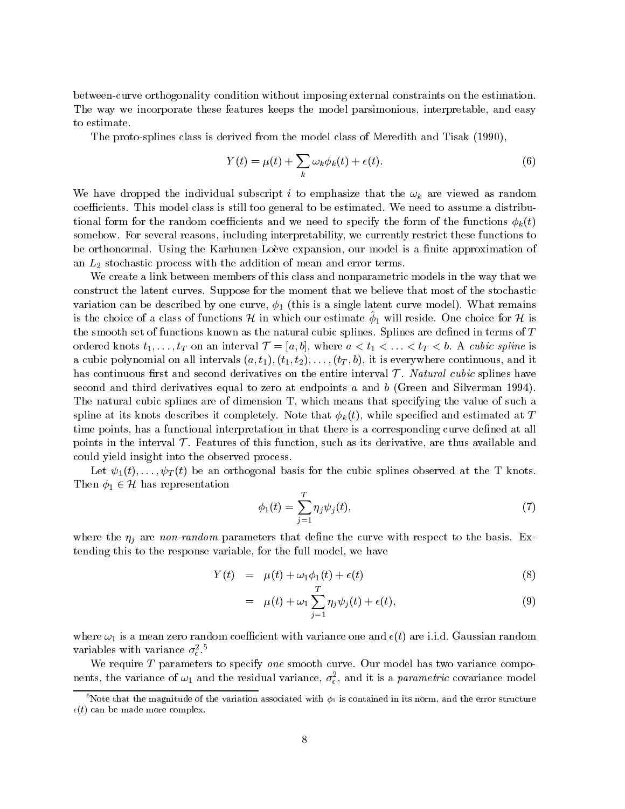between-curve orthogonality condition without imposing external constraints on the estimation. The way we incorporate these features keeps the model parsimonious, interpretable, and easy to estimate.

The proto-splines class is derived from the model class of Meredith and Tisak (1990),

$$
Y(t) = \mu(t) + \sum_{k} \omega_k \phi_k(t) + \epsilon(t). \tag{6}
$$

We have dropped the individual subscript i to emphasize that the  $\omega_k$  are viewed as random coefficients. This model class is still too general to be estimated. We need to assume a distributional form for the random coefficients and we need to specify the form of the functions  $\phi_k(t)$ somehow. For several reasons, including interpretability, we currently restrict these functions to be orthonormal. Using the Karhunen-Loève expansion, our model is a finite approximation of an  $L_2$  stochastic process with the addition of mean and error terms.

We create a link between members of this class and nonparametric models in the way that we construct the latent curves. Suppose for the moment that we believe that most of the stochastic variation can be described by one curve,  $\phi_1$  (this is a single latent curve model). What remains is the choice of a class of functions H in which our estimate  $\varphi_1$  will reside. One choice for H is the smooth set of functions known as the natural cubic splines. Splines are defined in terms of  $T$ ordered know this time  $\sum_{i=1}^n x_i$  and  $\sum_{i=1}^n x_i$  and  $\sum_{i=1}^n x_i$  and  $\sum_{i=1}^n x_i$  are  $\sum_{i=1}^n x_i$  and  $\sum_{i=1}^n x_i$ a cubic polynomial on all intervals  $(a, t_1), (t_1, t_2), \ldots, (t_T, b)$ , it is everywhere continuous, and it has continuous rst and second derivatives on the entire interval T . Natural cubic splines have second and third derivatives equal to zero at endpoints <sup>a</sup> and <sup>b</sup> (Green and Silverman 1994). The natural cubic splines are of dimension T, which means that specifying the value of such a spline at its knots describes it completely. Note that  $\phi_k(t)$ , while specified and estimated at T time points, has a functional interpretation in that there is a corresponding curve defined at all points in the interval T . Features of this function, such as its derivative, are thus available and could yield insight into the observed process.

Let  $\psi_1(t),\ldots,\psi_T(t)$  be an orthogonal basis for the cubic splines observed at the T knots. Then  $\phi_1 \in \mathcal{H}$  has representation

$$
\phi_1(t) = \sum_{j=1}^T \eta_j \psi_j(t),
$$
\n(7)

where the  $\eta_i$  are non-random parameters that define the curve with respect to the basis. Extending this to the response variable, for the full model, we have

$$
Y(t) = \mu(t) + \omega_1 \phi_1(t) + \epsilon(t) \tag{8}
$$

$$
= \mu(t) + \omega_1 \sum_{j=1}^{T} \eta_j \psi_j(t) + \epsilon(t), \qquad (9)
$$

where  $\omega_1$  is a mean zero random coefficient with variance one and  $\epsilon(t)$  are i.i.d. Gaussian random variables with variance  $\sigma_z^*$ .

We require  $T$  parameters to specify one smooth curve. Our model has two variance compohents, the variance of  $\omega_1$  and the residual variance,  $\sigma_\epsilon$ , and it is a *parametric* covariance model

 $^5$ Note that the magnitude of the variation associated with  $\phi_1$  is contained in its norm, and the error structure  $\epsilon(t)$  can be made more complex.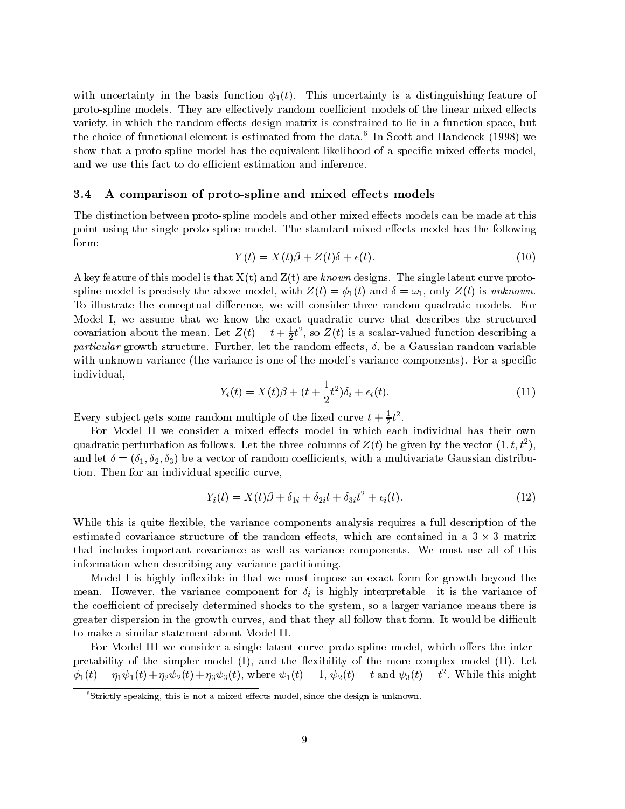with uncertainty in the basis function  $\phi_1(t)$ . This uncertainty is a distinguishing feature of proto-spline models. They are effectively random coefficient models of the linear mixed effects variety, in which the random effects design matrix is constrained to lie in a function space, but the choice of functional element is estimated from the data. In Scott and Handcock (1998) we show that a proto-spline model has the equivalent likelihood of a specific mixed effects model, and we use this fact to do efficient estimation and inference.

#### 3.4 A comparison of proto-spline and mixed effects models

The distinction between proto-spline models and other mixed effects models can be made at this point using the single proto-spline model. The standard mixed effects model has the following form:

$$
Y(t) = X(t)\beta + Z(t)\delta + \epsilon(t). \tag{10}
$$

A key feature of this model is that  $X(t)$  and  $Z(t)$  are known designs. The single latent curve protospline model is precisely the above model, with  $Z(t) = \phi_1(t)$  and  $\delta = \omega_1$ , only  $Z(t)$  is unknown. To illustrate the conceptual difference, we will consider three random quadratic models. For Model I, we assume that we know the exact quadratic curve that describes the structured covariation about the mean. Let  $Z(t) = t + \frac{1}{2}t^2$ , so  $Z(t)$  is a scalar-valued function describing a particular growth structure. Further, let the random eects, , be a Gaussian random variable with unknown variance (the variance is one of the model's variance components). For a specific individual,

$$
Y_i(t) = X(t)\beta + (t + \frac{1}{2}t^2)\delta_i + \epsilon_i(t). \tag{11}
$$

Every subject gets some random multiple of the fixed curve  $t + \frac{1}{2}t^2$ .

For Model II we consider a mixed effects model in which each individual has their own quadratic perturbation as follows. Let the three columns of  $Z(t)$  be given by the vector  $(1, t, t^2)$ , and let  $\delta = (\delta_1, \delta_2, \delta_3)$  be a vector of random coefficients, with a multivariate Gaussian distribution. Then for an individual specific curve,

$$
Y_i(t) = X(t)\beta + \delta_{1i} + \delta_{2i}t + \delta_{3i}t^2 + \epsilon_i(t). \tag{12}
$$

While this is quite flexible, the variance components analysis requires a full description of the estimated covariance structure of the random eects, which are contained in a 3 3 matrix that includes important covariance as well as variance components. We must use all of this information when describing any variance partitioning.

Model I is highly inflexible in that we must impose an exact form for growth beyond the mean. However, the variance component for  $\delta_i$  is highly interpretable—it is the variance of the coefficient of precisely determined shocks to the system, so a larger variance means there is greater dispersion in the growth curves, and that they all follow that form. It would be difficult to make a similar statement about Model II.

For Model III we consider a single latent curve proto-spline model, which offers the interpretability of the simpler model  $(I)$ , and the flexibility of the more complex model  $(II)$ . Let  $\varphi_1(t) = \eta_1 \psi_1(t) + \eta_2 \psi_2(t) + \eta_3 \psi_3(t)$ , where  $\psi_1(t) = 1$ ,  $\psi_2(t) = t$  and  $\psi_3(t) = t$ . While this might

 $6$ Strictly speaking, this is not a mixed effects model, since the design is unknown.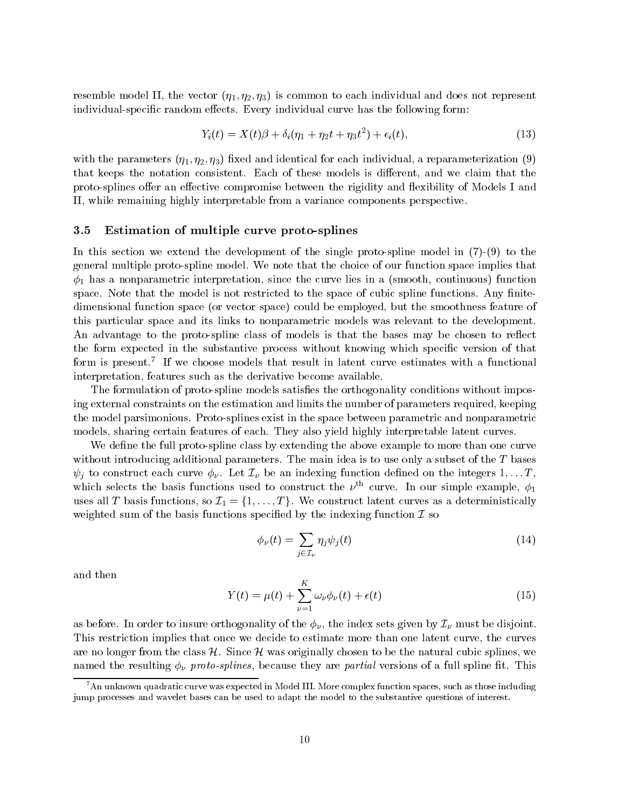resemble model II, the vector  $(\eta_1, \eta_2, \eta_3)$  is common to each individual and does not represent individual-specific random effects. Every individual curve has the following form:

$$
Y_i(t) = X(t)\beta + \delta_i(\eta_1 + \eta_2 t + \eta_3 t^2) + \epsilon_i(t),
$$
\n(13)

with the parameters  $(\eta_1, \eta_2, \eta_3)$  fixed and identical for each individual, a reparameterization (9) that keeps the notation consistent. Each of these models is different, and we claim that the proto-splines offer an effective compromise between the rigidity and flexibility of Models I and II, while remaining highly interpretable from a variance components perspective.

#### 3.5 Estimation of multiple curve proto-splines

In this section we extend the development of the single proto-spline model in  $(7)-(9)$  to the general multiple proto-spline model. We note that the choice of our function space implies that  $\phi_1$  has a nonparametric interpretation, since the curve lies in a (smooth, continuous) function space. Note that the model is not restricted to the space of cubic spline functions. Any finitedimensional function space (or vector space) could be employed, but the smoothness feature of this particular space and its links to nonparametric models was relevant to the development. An advantage to the proto-spline class of models is that the bases may be chosen to reflect the form expected in the substantive process without knowing which specific version of that form is present.7 If we choose models that result in latent curve estimates with a functional interpretation, features such as the derivative become available.

The formulation of proto-spline models satisfies the orthogonality conditions without imposing external constraints on the estimation and limits the number of parameters required, keeping the model parsimonious. Proto-splines exist in the space between parametric and nonparametric models, sharing certain features of each. They also yield highly interpretable latent curves.

We define the full proto-spline class by extending the above example to more than one curve without introducing additional parameters. The main idea is to use only a subset of the T bases  $\psi_i$  to construct each curve  $\phi_{\nu}$ . Let  $\mathcal{I}_{\nu}$  be an indexing function defined on the integers  $1,\ldots T$ , which selects the basis functions used to construct the  $\nu^{\text{th}}$  curve. In our simple example,  $\phi_1$ uses all T basis functions, so I1  $\{1\}$  ,  $\{1\}$  ,  $\{1\}$  ,  $\{1\}$  and the functions, so an a deterministically weighted sum of the basis functions specified by the indexing function  $\mathcal I$  so

$$
\phi_{\nu}(t) = \sum_{j \in \mathcal{I}_{\nu}} \eta_j \psi_j(t) \tag{14}
$$

and then

$$
Y(t) = \mu(t) + \sum_{\nu=1}^{K} \omega_{\nu} \phi_{\nu}(t) + \epsilon(t)
$$
\n(15)

as before. In order to insure orthogonality of the  $\phi_{\nu}$ , the index sets given by  $\mathcal{I}_{\nu}$  must be disjoint. This restriction implies that once we decide to estimate more than one latent curve, the curves are no longer from the class H. Since  $\lambda$  was originally chosen to be the natural cubic splines, we named the resulting  $\phi_{\nu}$  proto-splines, because they are partial versions of a full spline fit. This

 $^7$ An unknown quadratic curve was expected in Model III. More complex function spaces, such as those including jump processes and wavelet bases can be used to adapt the model to the substantive questions of interest.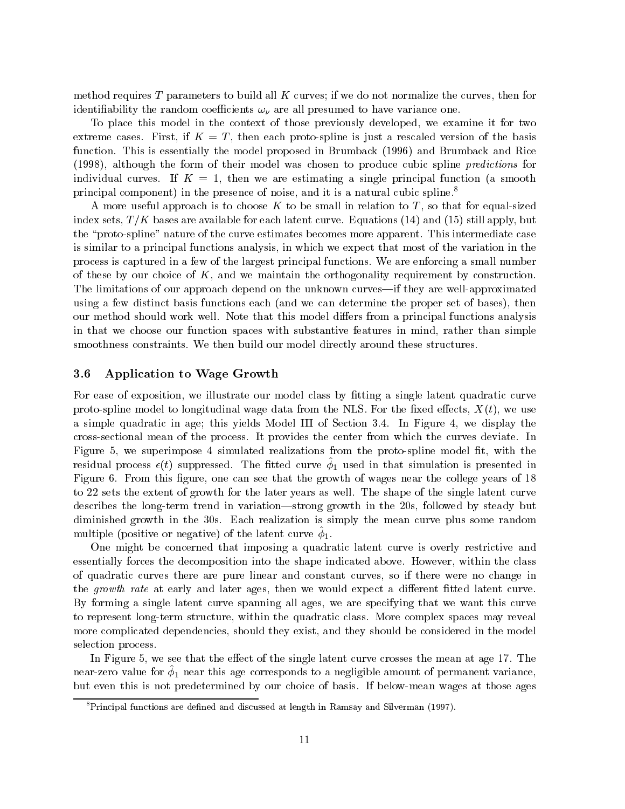method requires T parameters to build all  $K$  curves; if we do not normalize the curves, then for identifiability the random coefficients  $\omega_{\nu}$  are all presumed to have variance one.

To place this model in the context of those previously developed, we examine it for two extreme cases. First, if  $K = T$ , then each proto-spline is just a rescaled version of the basis function. This is essentially the model proposed in Brumback (1996) and Brumback and Rice (1998), although the form of their model was chosen to produce cubic spline predictions for individual curves. If  $K = 1$ , then we are estimating a single principal function (a smooth principal component) in the presence of noise, and it is a natural cubic spline.8

A more useful approach is to choose K to be small in relation to T, so that for equal-sized index sets,  $T/K$  bases are available for each latent curve. Equations (14) and (15) still apply, but the \proto-spline" nature of the curve estimates becomes more apparent. This intermediate case is similar to a principal functions analysis, in which we expect that most of the variation in the process is captured in a few of the largest principal functions. We are enforcing a small number of these by our choice of  $K$ , and we maintain the orthogonality requirement by construction. The limitations of our approach depend on the unknown curves—if they are well-approximated using a few distinct basis functions each (and we can determine the proper set of bases), then our method should work well. Note that this model differs from a principal functions analysis in that we choose our function spaces with substantive features in mind, rather than simple smoothness constraints. We then build our model directly around these structures.

### 3.6 Application to Wage Growth

For ease of exposition, we illustrate our model class by fitting a single latent quadratic curve proto-spline model to longitudinal wage data from the NLS. For the fixed effects,  $X(t)$ , we use a simple quadratic in age; this yields Model III of Section 3.4. In Figure 4, we display the cross-sectional mean of the process. It provides the center from which the curves deviate. In Figure 5, we superimpose 4 simulated realizations from the proto-spline model fit, with the residual process  $\epsilon(\iota)$  suppressed. The integrative  $\varphi_1$  used in that simulation is presented in Figure 6. From this figure, one can see that the growth of wages near the college years of  $18$ to 22 sets the extent of growth for the later years as well. The shape of the single latent curve describes the long-term trend in variation—strong growth in the 20s, followed by steady but diminished growth in the 30s. Each realization is simply the mean curve plus some random  $\min$   $\mu$  (positive of negative) of the latent curve  $\varphi$ ].

One might be concerned that imposing a quadratic latent curve is overly restrictive and essentially forces the decomposition into the shape indicated above. However, within the class of quadratic curves there are pure linear and constant curves, so if there were no change in the growth rate at early and later ages, then we would expect a different fitted latent curve. By forming a single latent curve spanning all ages, we are specifying that we want this curve to represent long-term structure, within the quadratic class. More complex spaces may reveal more complicated dependencies, should they exist, and they should be considered in the model selection process.

In Figure 5, we see that the effect of the single latent curve crosses the mean at age 17. The  $\max$  are the form  $\varphi_1$  frear this age corresponds to a negligible amount or permanent variance, but even this is not predetermined by our choice of basis. If below-mean wages at those ages

 ${}^{8}$ Principal functions are defined and discussed at length in Ramsay and Silverman (1997).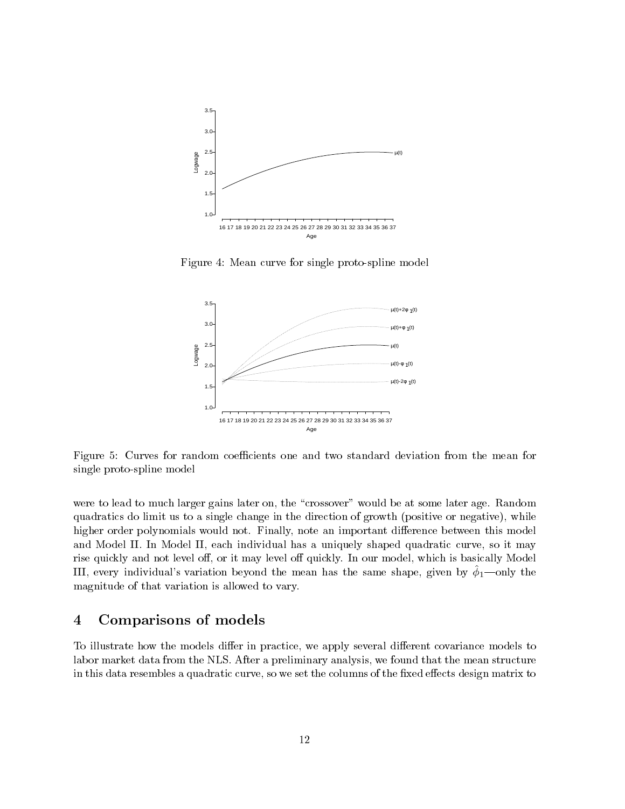

Figure 4: Mean curve for single proto-spline model



Figure 5: Curves for random coefficients one and two standard deviation from the mean for single proto-spline model

were to lead to much larger gains later on, the "crossover" would be at some later age. Random quadratics do limit us to a single change in the direction of growth (positive or negative), while higher order polynomials would not. Finally, note an important difference between this model and Model II. In Model II, each individual has a uniquely shaped quadratic curve, so it may rise quickly and not level off, or it may level off quickly. In our model, which is basically Model III, every individual's variation beyond the mean has the same shape, given by  $\phi_1$ —only the magnitude of that variation is allowed to vary.

#### $\overline{\mathbf{4}}$ Comparisons of models

To illustrate how the models differ in practice, we apply several different covariance models to labor market data from the NLS. After a preliminary analysis, we found that the mean structure in this data resembles a quadratic curve, so we set the columns of the fixed effects design matrix to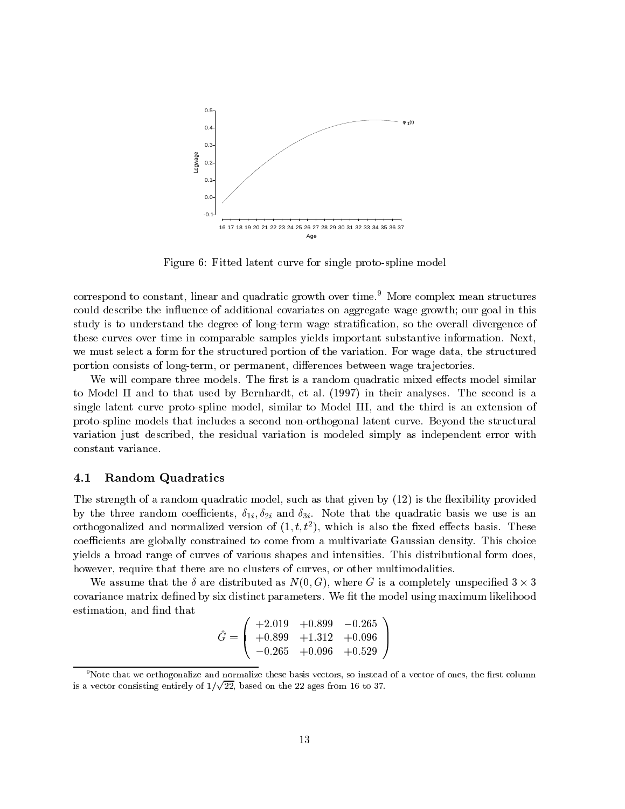

Figure 6: Fitted latent curve for single proto-spline model

correspond to constant, linear and quadratic growth over time.<sup>9</sup> More complex mean structures could describe the influence of additional covariates on aggregate wage growth; our goal in this study is to understand the degree of long-term wage stratication, so the overall divergence of these curves over time in comparable samples yields important substantive information. Next, we must select a form for the structured portion of the variation. For wage data, the structured portion consists of long-term, or permanent, differences between wage trajectories.

We will compare three models. The first is a random quadratic mixed effects model similar to Model II and to that used by Bernhardt, et al. (1997) in their analyses. The second is a single latent curve proto-spline model, similar to Model III, and the third is an extension of proto-spline models that includes a second non-orthogonal latent curve. Beyond the structural variation just described, the residual variation is modeled simply as independent error with constant variance.

#### 4.1 Random Quadratics

The strength of a random quadratic model, such as that given by (12) is the flexibility provided by the three random coefficients,  $\delta_{1i}$ ,  $\delta_{2i}$  and  $\delta_{3i}$ . Note that the quadratic basis we use is an orthogonalized and normalized version of  $(1, t, t^*)$ , which is also the fixed effects basis. These coefficients are globally constrained to come from a multivariate Gaussian density. This choice yields a broad range of curves of various shapes and intensities. This distributional form does, however, require that there are no clusters of curves, or other multimodalities.

We assume that the  $\alpha$  are distributed as  $\alpha$ ,  $\alpha$ ,  $\alpha$ , where  $\alpha$  is a completely unificated 3  $\alpha$  . covariance matrix defined by six distinct parameters. We fit the model using maximum likelihood estimation, and find that

$$
\hat{G} = \left(\begin{array}{ccc} +2.019 & +0.899 & -0.265 \\ +0.899 & +1.312 & +0.096 \\ -0.265 & +0.096 & +0.529 \end{array}\right)
$$

 $^9$ Note that we orthogonalize and normalize these basis vectors, so instead of a vector of ones, the first column is a vector consisting entirely of  $1/\sqrt{22}$ , based on the 22 ages from 16 to 37.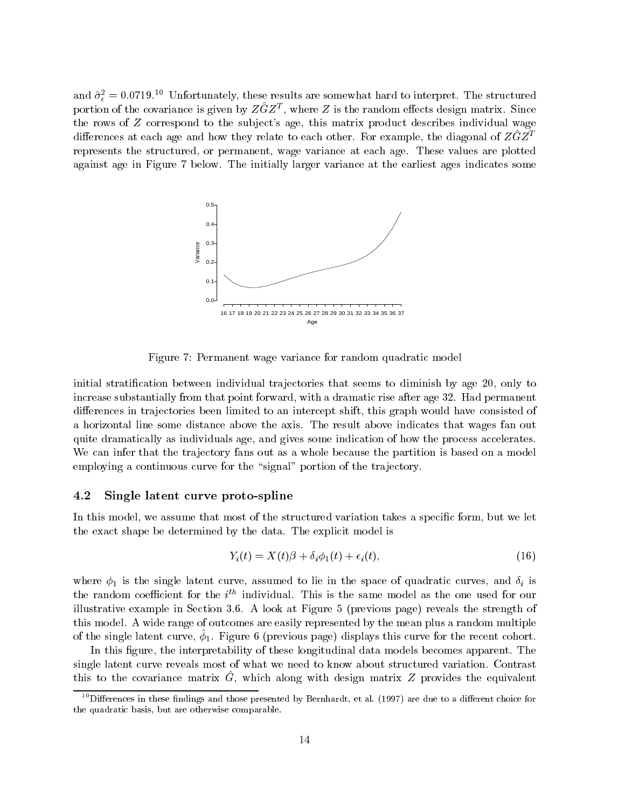and  $\sigma_{\epsilon}^2 = 0.0719.1$  Unfortunately, these results are somewhat hard to interpret. The structured portion of the covariance is given by  $ZGZ^{\pm}$ , where  $Z$  is the random effects design matrix. Since the rows of  $Z$  correspond to the subject's age, this matrix product describes individual wage differences at each age and how they relate to each other. For example, the diagonal of  $Z\ddot{G}Z^T$ represents the structured, or permanent, wage variance at each age. These values are plotted against age in Figure 7 below. The initially larger variance at the earliest ages indicates some



Figure 7: Permanent wage variance for random quadratic model

initial stratification between individual trajectories that seems to diminish by age 20, only to increase substantially from that point forward, with a dramatic rise after age 32. Had permanent differences in trajectories been limited to an intercept shift, this graph would have consisted of a horizontal line some distance above the axis. The result above indicates that wages fan out quite dramatically as individuals age, and gives some indication of how the process accelerates. We can infer that the trajectory fans out as a whole because the partition is based on a model employing a continuous curve for the "signal" portion of the trajectory.

### 4.2 Single latent curve proto-spline

In this model, we assume that most of the structured variation takes a specific form, but we let the exact shape be determined by the data. The explicit model is

$$
Y_i(t) = X(t)\beta + \delta_i \phi_1(t) + \epsilon_i(t), \qquad (16)
$$

where  $\phi_1$  is the single latent curve, assumed to lie in the space of quadratic curves, and  $\delta_i$  is the random coefficient for the  $i^{\ldots}$  individual. This is the same model as the one used for our illustrative example in Section 3.6. A look at Figure 5 (previous page) reveals the strength of this model. A wide range of outcomes are easily represented by the mean plus a random multiple of the single latent curve,  $\varphi$ ]. Figure 6 (previous page) displays this curve for the recent cohort.

In this figure, the interpretability of these longitudinal data models becomes apparent. The single latent curve reveals most of what we need to know about structured variation. Contrast  $\frac{1}{2}$  to the covariance matrix  $\alpha$ , which along with design matrix  $z$  provides the equivalent

 $10$ Differences in these findings and those presented by Bernhardt, et al. (1997) are due to a different choice for the quadratic basis, but are otherwise comparable.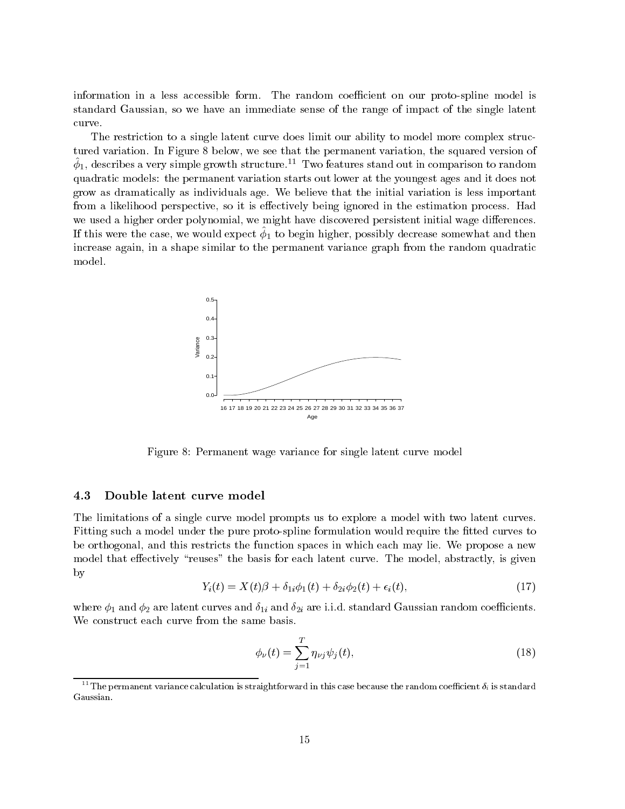information in a less accessible form. The random coefficient on our proto-spline model is standard Gaussian, so we have an immediate sense of the range of impact of the single latent curve.

The restriction to a single latent curve does limit our ability to model more complex structured variation. In Figure 8 below, we see that the permanent variation, the squared version of  $\varphi_1,$  describes a very simple growth structure.  $-1$  wo features stand out in comparison to random  $$ quadratic models: the permanent variation starts out lower at the youngest ages and it does not grow as dramatically as individuals age. We believe that the initial variation is less important from a likelihood perspective, so it is effectively being ignored in the estimation process. Had we used a higher order polynomial, we might have discovered persistent initial wage differences. If this were the case, we would expect  $\varphi_1$  to begin higher, possibly decrease somewhat and then increase again, in a shape similar to the permanent variance graph from the random quadratic model.



Figure 8: Permanent wage variance for single latent curve model

#### 4.3 Double latent curve model

The limitations of a single curve model prompts us to explore a model with two latent curves. Fitting such a model under the pure proto-spline formulation would require the fitted curves to be orthogonal, and this restricts the function spaces in which each may lie. We propose a new model that effectively "reuses" the basis for each latent curve. The model, abstractly, is given by

$$
Y_i(t) = X(t)\beta + \delta_{1i}\phi_1(t) + \delta_{2i}\phi_2(t) + \epsilon_i(t),\tag{17}
$$

where  $\phi_1$  and  $\phi_2$  are latent curves and  $\delta_{1i}$  and  $\delta_{2i}$  are i.i.d. standard Gaussian random coefficients. We construct each curve from the same basis.

$$
\phi_{\nu}(t) = \sum_{j=1}^{T} \eta_{\nu j} \psi_j(t),\tag{18}
$$

 $^{11}{\rm The\,p\,ern}$  variance calculation is straightforward in this case because the random coefficient  $\delta_i$  is standard Gaussian.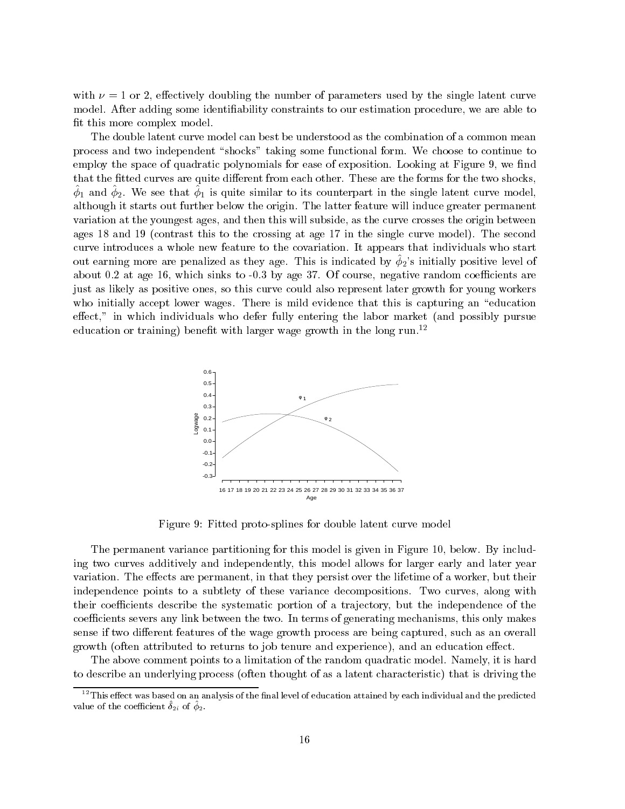with  $\nu = 1$  or 2, effectively doubling the number of parameters used by the single latent curve model. After adding some identiability constraints to our estimation procedure, we are able to fit this more complex model.

The double latent curve model can best be understood as the combination of a common mean process and two independent "shocks" taking some functional form. We choose to continue to employ the space of quadratic polynomials for ease of exposition. Looking at Figure 9, we find that the fitted curves are quite different from each other. These are the forms for the two shocks,  $\varphi$  and  $\varphi_2$ . We see that  $\varphi_1$  is quite similar to its counterpart in the single latent curve model, although it starts out further below the origin. The latter feature will induce greater permanent variation at the youngest ages, and then this will subside, as the curve crosses the origin between ages 18 and 19 (contrast this to the crossing at age 17 in the single curve model). The second curve introduces a whole new feature to the covariation. It appears that individuals who start out earning more are penalized as they age. This is indicated by  $\phi_2$ 's initially positive level of about  $0.2$  at age 16, which sinks to  $-0.3$  by age 37. Of course, negative random coefficients are just as likely as positive ones, so this curve could also represent later growth for young workers who initially accept lower wages. There is mild evidence that this is capturing an "education"  $effect,$ " in which individuals who defer fully entering the labor market (and possibly pursue education or training) benefit with larger wage growth in the long run.<sup>12</sup>



Figure 9: Fitted proto-splines for double latent curve model

The permanent variance partitioning for this model is given in Figure 10, below. By including two curves additively and independently, this model allows for larger early and later year variation. The effects are permanent, in that they persist over the lifetime of a worker, but their independence points to a subtlety of these variance decompositions. Two curves, along with their coefficients describe the systematic portion of a trajectory, but the independence of the coefficients severs any link between the two. In terms of generating mechanisms, this only makes sense if two different features of the wage growth process are being captured, such as an overall growth (often attributed to returns to job tenure and experience), and an education effect.

The above comment points to a limitation of the random quadratic model. Namely, it is hard to describe an underlying process (often thought of as a latent characteristic) that is driving the

 $^{12}$ This effect was based on an analysis of the final level of education attained by each individual and the predicted value of the coefficient  $v_{2i}$  of  $\varphi_2$ .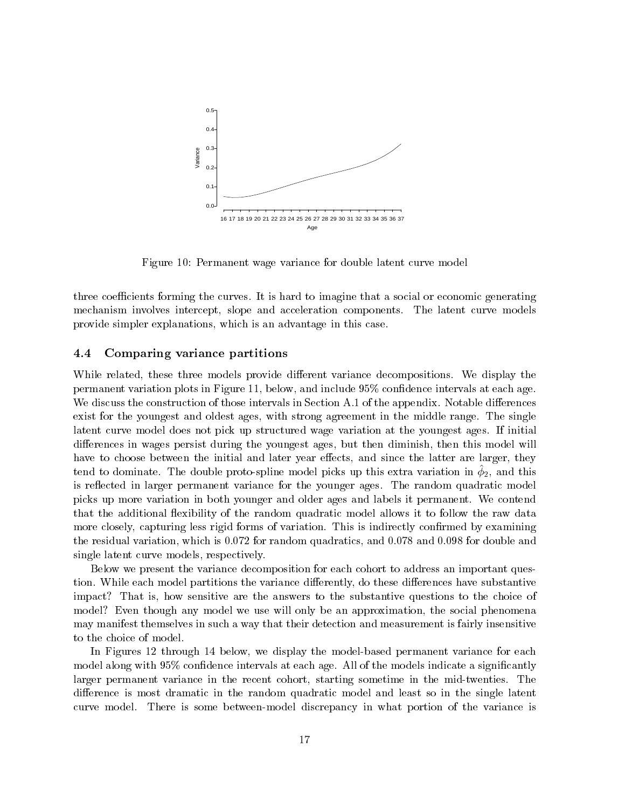

Figure 10: Permanent wage variance for double latent curve model

three coefficients forming the curves. It is hard to imagine that a social or economic generating mechanism involves intercept, slope and acceleration components. The latent curve models provide simpler explanations, which is an advantage in this case.

#### 4.4 Comparing variance partitions

While related, these three models provide different variance decompositions. We display the permanent variation plots in Figure 11, below, and include 95% condence intervals at each age. We discuss the construction of those intervals in Section  $A.1$  of the appendix. Notable differences exist for the youngest and oldest ages, with strong agreement in the middle range. The single latent curve model does not pick up structured wage variation at the youngest ages. If initial differences in wages persist during the youngest ages, but then diminish, then this model will have to choose between the initial and later year effects, and since the latter are larger, they  $t$  tend to dominate. The double proto-spline moder picks up this extra variation in  $\varphi_2$ , and this is reflected in larger permanent variance for the younger ages. The random quadratic model picks up more variation in both younger and older ages and labels it permanent. We contend that the additional flexibility of the random quadratic model allows it to follow the raw data more closely, capturing less rigid forms of variation. This is indirectly confirmed by examining the residual variation, which is 0.072 for random quadratics, and 0.078 and 0.098 for double and single latent curve models, respectively.

Below we present the variance decomposition for each cohort to address an important question. While each model partitions the variance differently, do these differences have substantive impact? That is, how sensitive are the answers to the substantive questions to the choice of model? Even though any model we use will only be an approximation, the social phenomena may manifest themselves in such a way that their detection and measurement is fairly insensitive to the choice of model.

In Figures 12 through 14 below, we display the model-based permanent variance for each model along with  $95\%$  confidence intervals at each age. All of the models indicate a significantly larger permanent variance in the recent cohort, starting sometime in the mid-twenties. The difference is most dramatic in the random quadratic model and least so in the single latent curve model. There is some between-model discrepancy in what portion of the variance is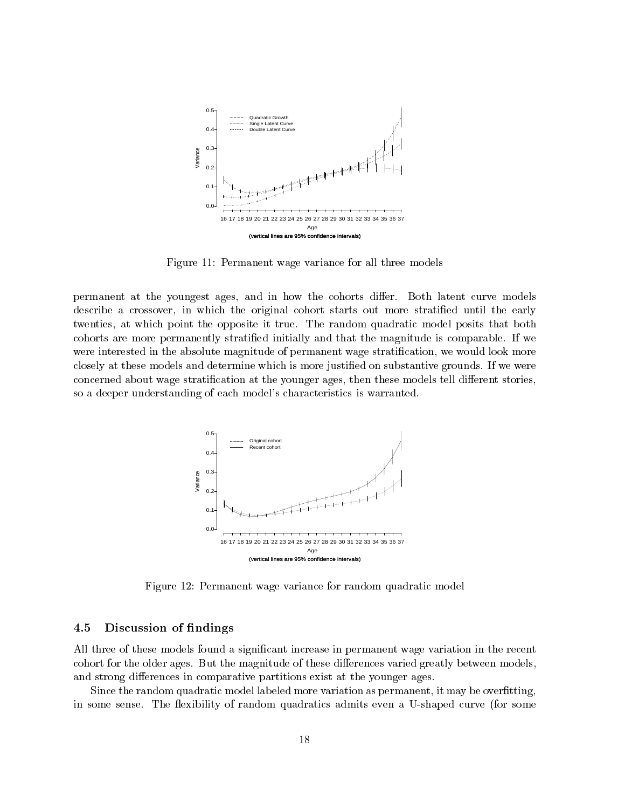

Figure 11: Permanent wage variance for all three models

permanent at the youngest ages, and in how the cohorts differ. Both latent curve models describe a crossover, in which the original cohort starts out more stratied until the early twenties, at which point the opposite it true. The random quadratic model posits that both cohorts are more permanently stratied initially and that the magnitude is comparable. If we were interested in the absolute magnitude of permanent wage stratification, we would look more closely at these models and determine which is more justied on substantive grounds. If we were concerned about wage stratification at the younger ages, then these models tell different stories, so a deeper understanding of each model's characteristics is warranted.



Figure 12: Permanent wage variance for random quadratic model

### 4.5 Discussion of ndings

All three of these models found a signicant increase in permanent wage variation in the recent cohort for the older ages. But the magnitude of these differences varied greatly between models, and strong differences in comparative partitions exist at the younger ages.

Since the random quadratic model labeled more variation as permanent, it may be overfitting, in some sense. The flexibility of random quadratics admits even a U-shaped curve (for some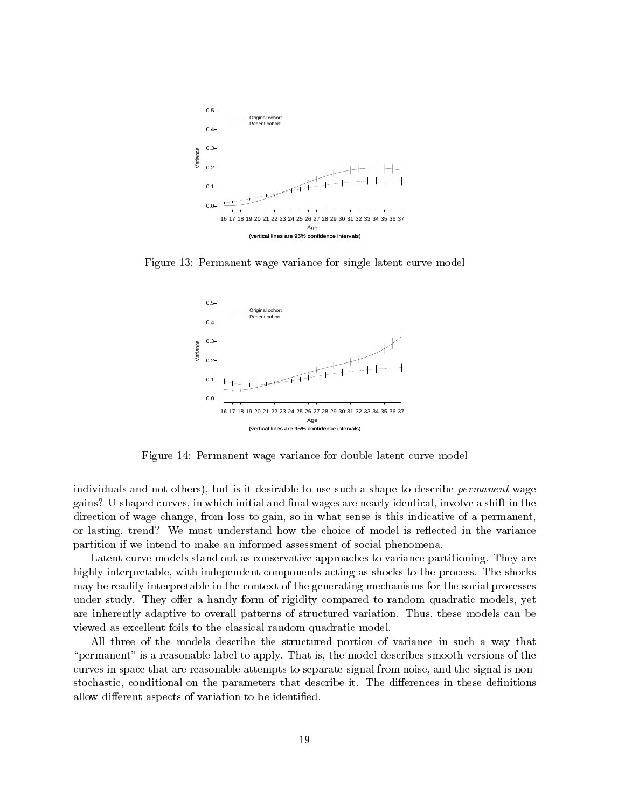

Figure 13: Permanent wage variance for single latent curve model



Figure 14: Permanent wage variance for double latent curve model

individuals and not others), but is it desirable to use such a shape to describe *permanent* wage gains? U-shaped curves, in which initial and final wages are nearly identical, involve a shift in the direction of wage change, from loss to gain, so in what sense is this indicative of a permanent, or lasting, trend? We must understand how the choice of model is reflected in the variance partition if we intend to make an informed assessment of social phenomena.

Latent curve models stand out as conservative approaches to variance partitioning. They are highly interpretable, with independent components acting as shocks to the process. The shocks may be readily interpretable in the context of the generating mechanisms for the social processes under study. They offer a handy form of rigidity compared to random quadratic models, yet are inherently adaptive to overall patterns of structured variation. Thus, these models can be viewed as excellent foils to the classical random quadratic model.

All three of the models describe the structured portion of variance in such a way that "permanent" is a reasonable label to apply. That is, the model describes smooth versions of the curves in space that are reasonable attempts to separate signal from noise, and the signal is nonstochastic, conditional on the parameters that describe it. The differences in these definitions allow different aspects of variation to be identified.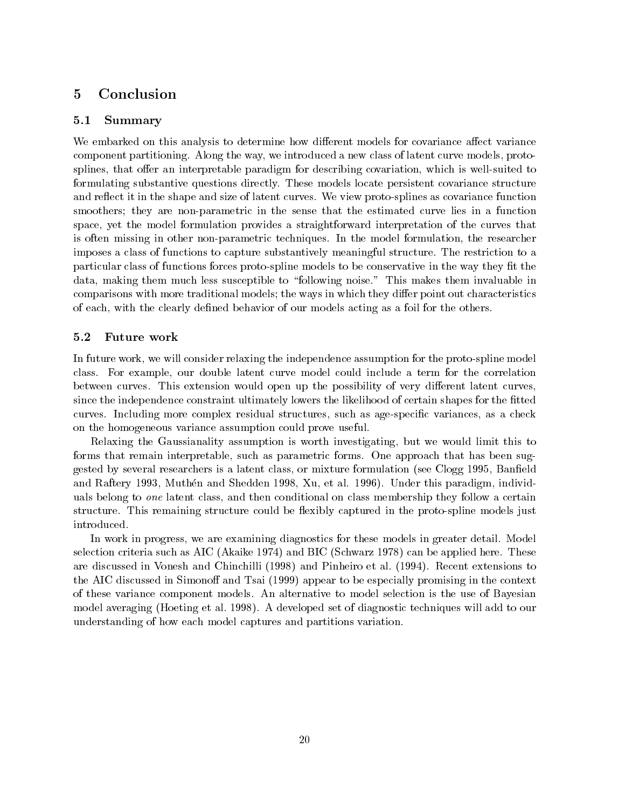#### **Conclusion**  $\overline{5}$

#### $5.1$ 5.1 Summary

We embarked on this analysis to determine how different models for covariance affect variance component partitioning. Along the way, we introduced a new class of latent curve models, protosplines, that offer an interpretable paradigm for describing covariation, which is well-suited to formulating substantive questions directly. These models locate persistent covariance structure and reflect it in the shape and size of latent curves. We view proto-splines as covariance function smoothers; they are non-parametric in the sense that the estimated curve lies in a function space, yet the model formulation provides a straightforward interpretation of the curves that is often missing in other non-parametric techniques. In the model formulation, the researcher imposes a class of functions to capture substantively meaningful structure. The restriction to a particular class of functions forces proto-spline models to be conservative in the way they fit the data, making them much less susceptible to \following noise." This makes them invaluable in comparisons with more traditional models; the ways in which they differ point out characteristics of each, with the clearly defined behavior of our models acting as a foil for the others.

#### $5.2$ Future work

In future work, we will consider relaxing the independence assumption for the proto-spline model class. For example, our double latent curve model could include a term for the correlation between curves. This extension would open up the possibility of very different latent curves. since the independence constraint ultimately lowers the likelihood of certain shapes for the fitted curves. Including more complex residual structures, such as age-specific variances, as a check on the homogeneous variance assumption could prove useful.

Relaxing the Gaussianality assumption is worth investigating, but we would limit this to forms that remain interpretable, such as parametric forms. One approach that has been suggested by several researchers is a latent class, or mixture formulation (see Clogg 1995, Baneld and Raftery 1993, Muthen and Shedden 1998, Xu, et al. 1996). Under this paradigm, individuals belong to *one* latent class, and then conditional on class membership they follow a certain structure. This remaining structure could be flexibly captured in the proto-spline models just introduced.

In work in progress, we are examining diagnostics for these models in greater detail. Model selection criteria such as AIC (Akaike 1974) and BIC (Schwarz 1978) can be applied here. These are discussed in Vonesh and Chinchilli (1998) and Pinheiro et al. (1994). Recent extensions to the AIC discussed in Simonoff and Tsai (1999) appear to be especially promising in the context of these variance component models. An alternative to model selection is the use of Bayesian model averaging (Hoeting et al. 1998). A developed set of diagnostic techniques will add to our understanding of how each model captures and partitions variation.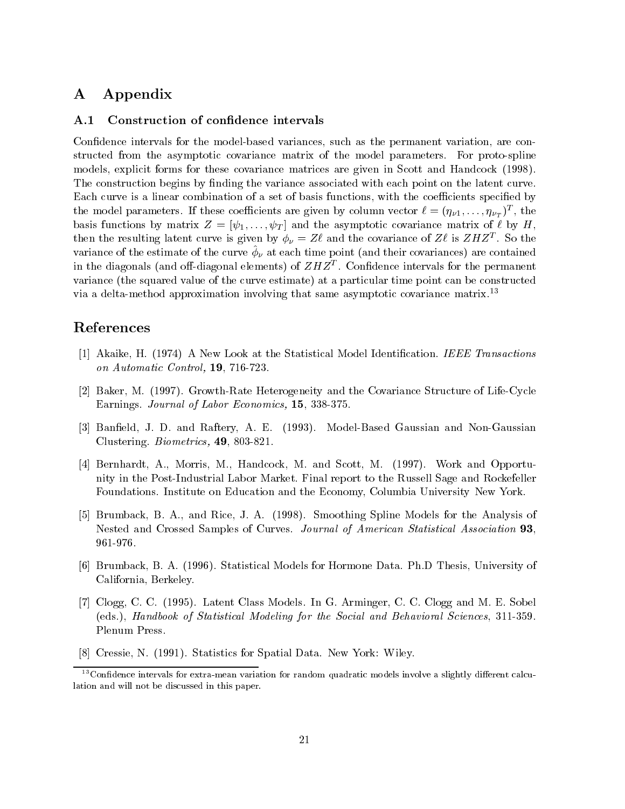# A Appendix

### A.1 Construction of confidence intervals

Condence intervals for the model-based variances, such as the permanent variation, are constructed from the asymptotic covariance matrix of the model parameters. For proto-spline models, explicit forms for these covariance matrices are given in Scott and Handcock (1998). The construction begins by finding the variance associated with each point on the latent curve. Each curve is a linear combination of a set of basis functions, with the coefficients specified by the model parameters. If these coefficients are given by column vector  $\ell \equiv (\eta_{\nu 1},\ldots,\eta_{\nu_T})$  , the basis functions by matrix  $Z = [\psi_1, \ldots, \psi_T]$  and the asymptotic covariance matrix of  $\ell$  by H, then the resulting latent curve is given by  $\varphi_{\nu} = Z \ell$  and the covariance of Z $\ell$  is ZHZT. So the variance of the estimate of the curve  $\varphi_y$  at each time point (and their covariances) are contained in the diagonals (and on-diagonal elements) of  $Z \pi Z^\ast$  . Connuence intervals for the permanent variance (the squared value of the curve estimate) at a particular time point can be constructed via a delta-method approximation involving that same asymptotic covariance matrix.<sup>13</sup>

# References

- [1] Akaike, H. (1974) A New Look at the Statistical Model Identication. IEEE Transactions on Automatic Control, 19, 716-723.
- [2] Baker, M. (1997). Growth-Rate Heterogeneity and the Covariance Structure of Life-Cycle Earnings. Journal of Labor Economics, 15, 338-375.
- [3] Baneld, J. D. and Raftery, A. E. (1993). Model-Based Gaussian and Non-Gaussian Clustering. Biometrics, 49, 803-821.
- [4] Bernhardt, A., Morris, M., Handcock, M. and Scott, M. (1997). Work and Opportunity in the Post-Industrial Labor Market. Final report to the Russell Sage and Rockefeller Foundations. Institute on Education and the Economy, Columbia University New York.
- [5] Brumback, B. A., and Rice, J. A. (1998). Smoothing Spline Models for the Analysis of Nested and Crossed Samples of Curves. Journal of American Statistical Association 93, 961-976.
- [6] Brumback, B. A. (1996). Statistical Models for Hormone Data. Ph.D Thesis, University of California, Berkeley.
- [7] Clogg, C. C. (1995). Latent Class Models. In G. Arminger, C. C. Clogg and M. E. Sobel (eds.), Handbook of Statistical Modeling for the Social and Behavioral Sciences, 311-359. Plenum Press.
- [8] Cressie, N. (1991). Statistics for Spatial Data. New York: Wiley.

 $^{13}$ Confidence intervals for extra-mean variation for random quadratic models involve a slightly different calculation and will not be discussed in this paper.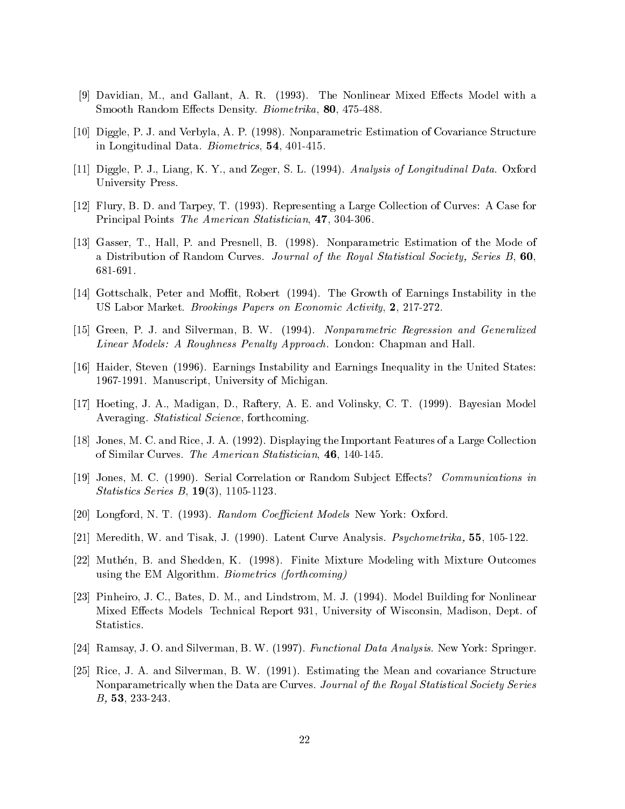- [9] Davidian, M., and Gallant, A. R. (1993). The Nonlinear Mixed Effects Model with a Smooth Random Effects Density. Biometrika, 80, 475-488.
- [10] Diggle, P. J. and Verbyla, A. P. (1998). Nonparametric Estimation of Covariance Structure in Longitudinal Data. Biometrics, 54, 401-415.
- [11] Diggle, P. J., Liang, K. Y., and Zeger, S. L. (1994). Analysis of Longitudinal Data. Oxford University Press.
- [12] Flury, B. D. and Tarpey, T. (1993). Representing a Large Collection of Curves: A Case for Principal Points The American Statistician, 47, 304-306.
- [13] Gasser, T., Hall, P. and Presnell, B. (1998). Nonparametric Estimation of the Mode of a Distribution of Random Curves. Journal of the Royal Statistical Society, Series B, 60, 681-691.
- [14] Gottschalk, Peter and Moffit, Robert (1994). The Growth of Earnings Instability in the US Labor Market. Brookings Papers on Economic Activity, 2, 217-272.
- [15] Green, P. J. and Silverman, B. W. (1994). Nonparametric Regression and Generalized Linear Models: A Roughness Penalty Approach. London: Chapman and Hall.
- [16] Haider, Steven (1996). Earnings Instability and Earnings Inequality in the United States: 1967-1991. Manuscript, University of Michigan.
- [17] Hoeting, J. A., Madigan, D., Raftery, A. E. and Volinsky, C. T. (1999). Bayesian Model Averaging. Statistical Science, forthcoming.
- [18] Jones, M. C. and Rice, J. A. (1992). Displaying the Important Features of a Large Collection of Similar Curves. The American Statistician, 46, 140-145.
- [19] Jones, M. C. (1990). Serial Correlation or Random Subject Effects? Communications in Statistics Series B, 19(3), 1105-1123.
- [20] Longford, N. T. (1993). Random Coefficient Models New York: Oxford.
- [21] Meredith, W. and Tisak, J. (1990). Latent Curve Analysis. Psychometrika, 55, 105-122.
- [22] Muthén, B. and Shedden, K. (1998). Finite Mixture Modeling with Mixture Outcomes using the EM Algorithm. Biometrics (forthcoming)
- [23] Pinheiro, J. C., Bates, D. M., and Lindstrom, M. J. (1994). Model Building for Nonlinear Mixed Effects Models Technical Report 931, University of Wisconsin, Madison, Dept. of Statistics.
- [24] Ramsay, J. O. and Silverman, B. W. (1997). Functional Data Analysis. New York: Springer.
- [25] Rice, J. A. and Silverman, B. W. (1991). Estimating the Mean and covariance Structure Nonparametrically when the Data are Curves. Journal of the Royal Statistical Society Series B, 53, 233-243.